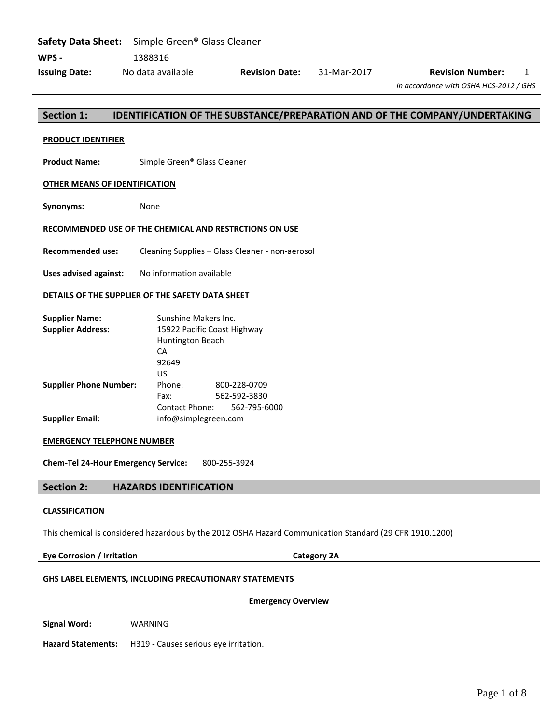## **Section 1: IDENTIFICATION OF THE SUBSTANCE/PREPARATION AND OF THE COMPANY/UNDERTAKING**

#### **PRODUCT IDENTIFIER**

**Product Name:** Simple Green® Glass Cleaner

#### **OTHER MEANS OF IDENTIFICATION**

**Synonyms:** None

#### **RECOMMENDED USE OF THE CHEMICAL AND RESTRCTIONS ON USE**

**Recommended use:** Cleaning Supplies – Glass Cleaner - non-aerosol

**Uses advised against:** No information available

#### **DETAILS OF THE SUPPLIER OF THE SAFETY DATA SHEET**

| <b>Supplier Name:</b>         | Sunshine Makers Inc.        |              |  |  |
|-------------------------------|-----------------------------|--------------|--|--|
| <b>Supplier Address:</b>      | 15922 Pacific Coast Highway |              |  |  |
|                               | <b>Huntington Beach</b>     |              |  |  |
|                               | СA                          |              |  |  |
|                               | 92649                       |              |  |  |
|                               | US                          |              |  |  |
| <b>Supplier Phone Number:</b> | Phone:                      | 800-228-0709 |  |  |
|                               | Fax:                        | 562-592-3830 |  |  |
|                               | Contact Phone: 562-795-6000 |              |  |  |
| <b>Supplier Email:</b>        | info@simplegreen.com        |              |  |  |

#### **EMERGENCY TELEPHONE NUMBER**

**Chem-Tel 24-Hour Emergency Service:** 800-255-3924

## **Section 2: HAZARDS IDENTIFICATION**

#### **CLASSIFICATION**

This chemical is considered hazardous by the 2012 OSHA Hazard Communication Standard (29 CFR 1910.1200)

**Eye Corrosion / Irritation Category 2A**

## **GHS LABEL ELEMENTS, INCLUDING PRECAUTIONARY STATEMENTS**

## **Emergency Overview**

**Signal Word:** WARNING

**Hazard Statements:** H319 - Causes serious eye irritation.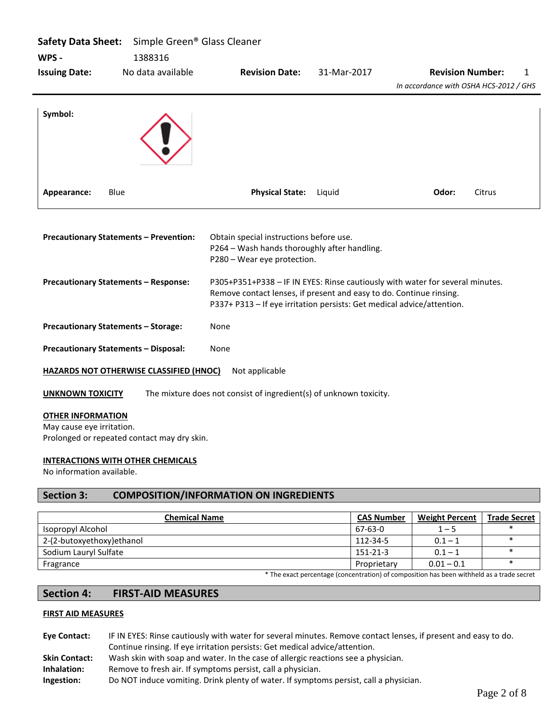| Safety Data Sheet: Simple Green® Glass Cleaner<br>WPS -               | 1388316                                        |                                                                                                                                               |             |                                                                               |
|-----------------------------------------------------------------------|------------------------------------------------|-----------------------------------------------------------------------------------------------------------------------------------------------|-------------|-------------------------------------------------------------------------------|
| <b>Issuing Date:</b>                                                  | No data available                              | <b>Revision Date:</b>                                                                                                                         | 31-Mar-2017 | <b>Revision Number:</b><br>1<br>In accordance with OSHA HCS-2012 / GHS        |
| Symbol:                                                               |                                                |                                                                                                                                               |             |                                                                               |
| Appearance:<br>Blue                                                   |                                                | <b>Physical State:</b>                                                                                                                        | Liguid      | Odor:<br>Citrus                                                               |
| <b>Precautionary Statements - Prevention:</b>                         |                                                | Obtain special instructions before use.<br>P264 - Wash hands thoroughly after handling.<br>P280 - Wear eye protection.                        |             |                                                                               |
| <b>Precautionary Statements - Response:</b>                           |                                                | Remove contact lenses, if present and easy to do. Continue rinsing.<br>P337+ P313 - If eye irritation persists: Get medical advice/attention. |             | P305+P351+P338 - IF IN EYES: Rinse cautiously with water for several minutes. |
| <b>Precautionary Statements - Storage:</b>                            |                                                | None                                                                                                                                          |             |                                                                               |
| <b>Precautionary Statements - Disposal:</b>                           |                                                | None                                                                                                                                          |             |                                                                               |
|                                                                       | <b>HAZARDS NOT OTHERWISE CLASSIFIED (HNOC)</b> | Not applicable                                                                                                                                |             |                                                                               |
| <b>UNKNOWN TOXICITY</b>                                               |                                                | The mixture does not consist of ingredient(s) of unknown toxicity.                                                                            |             |                                                                               |
| <b>OTHER INFORMATION</b><br>May cause eye irritation.                 | Prolonged or repeated contact may dry skin.    |                                                                                                                                               |             |                                                                               |
| <b>INTERACTIONS WITH OTHER CHEMICALS</b><br>No information available. |                                                |                                                                                                                                               |             |                                                                               |

## **Section 3: COMPOSITION/INFORMATION ON INGREDIENTS**

| <b>Chemical Name</b>                                                                     | <b>CAS Number</b> | <b>Weight Percent</b> | <b>Trade Secret</b> |
|------------------------------------------------------------------------------------------|-------------------|-----------------------|---------------------|
| Isopropyl Alcohol                                                                        | 67-63-0           | $1 - 5$               |                     |
| 2-(2-butoxyethoxy) ethanol                                                               | 112-34-5          | $0.1 - 1$             |                     |
| Sodium Lauryl Sulfate                                                                    | 151-21-3          | $0.1 - 1$             |                     |
| Fragrance                                                                                | Proprietary       | $0.01 - 0.1$          |                     |
| * The exact perceptage (concentration) of compection has been withhold as a trade secret |                   |                       |                     |

## The exact percentage (concentration) of composition has been withheld as a trade secret

## **Section 4: FIRST-AID MEASURES**

## **FIRST AID MEASURES**

| <b>Eve Contact:</b>  | IF IN EYES: Rinse cautiously with water for several minutes. Remove contact lenses, if present and easy to do. |
|----------------------|----------------------------------------------------------------------------------------------------------------|
|                      | Continue rinsing. If eye irritation persists: Get medical advice/attention.                                    |
| <b>Skin Contact:</b> | Wash skin with soap and water. In the case of allergic reactions see a physician.                              |
| Inhalation:          | Remove to fresh air. If symptoms persist, call a physician.                                                    |
| Ingestion:           | Do NOT induce vomiting. Drink plenty of water. If symptoms persist, call a physician.                          |
|                      |                                                                                                                |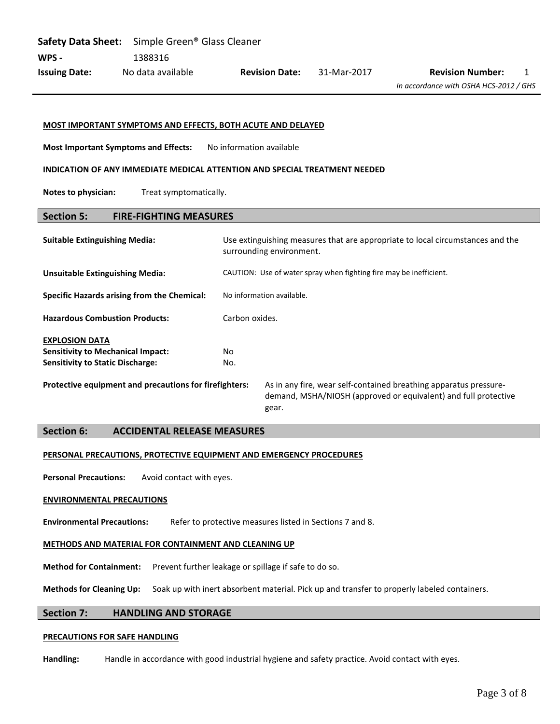|                      | <b>Safety Data Sheet:</b> Simple Green <sup>®</sup> Glass Cleaner |                       |             |                                        |  |
|----------------------|-------------------------------------------------------------------|-----------------------|-------------|----------------------------------------|--|
| WPS -                | 1388316                                                           |                       |             |                                        |  |
| <b>Issuing Date:</b> | No data available                                                 | <b>Revision Date:</b> | 31-Mar-2017 | <b>Revision Number:</b>                |  |
|                      |                                                                   |                       |             | In accordance with OSHA HCS-2012 / GHS |  |

#### **MOST IMPORTANT SYMPTOMS AND EFFECTS, BOTH ACUTE AND DELAYED**

**Most Important Symptoms and Effects:** No information available

#### **INDICATION OF ANY IMMEDIATE MEDICAL ATTENTION AND SPECIAL TREATMENT NEEDED**

**Notes to physician:** Treat symptomatically.

## **Section 5: FIRE-FIGHTING MEASURES**

| <b>Suitable Extinguishing Media:</b>                   | Use extinguishing measures that are appropriate to local circumstances and the<br>surrounding environment. |                                                                                                                                               |  |
|--------------------------------------------------------|------------------------------------------------------------------------------------------------------------|-----------------------------------------------------------------------------------------------------------------------------------------------|--|
| <b>Unsuitable Extinguishing Media:</b>                 | CAUTION: Use of water spray when fighting fire may be inefficient.                                         |                                                                                                                                               |  |
| <b>Specific Hazards arising from the Chemical:</b>     | No information available.                                                                                  |                                                                                                                                               |  |
| <b>Hazardous Combustion Products:</b>                  | Carbon oxides.                                                                                             |                                                                                                                                               |  |
| <b>EXPLOSION DATA</b>                                  |                                                                                                            |                                                                                                                                               |  |
| <b>Sensitivity to Mechanical Impact:</b>               | No.                                                                                                        |                                                                                                                                               |  |
| <b>Sensitivity to Static Discharge:</b>                | No.                                                                                                        |                                                                                                                                               |  |
| Protective equipment and precautions for firefighters: |                                                                                                            | As in any fire, wear self-contained breathing apparatus pressure-<br>demand, MSHA/NIOSH (approved or equivalent) and full protective<br>gear. |  |

## **Section 6: ACCIDENTAL RELEASE MEASURES**

#### **PERSONAL PRECAUTIONS, PROTECTIVE EQUIPMENT AND EMERGENCY PROCEDURES**

**Personal Precautions:** Avoid contact with eyes.

#### **ENVIRONMENTAL PRECAUTIONS**

**Environmental Precautions:** Refer to protective measures listed in Sections 7 and 8.

#### **METHODS AND MATERIAL FOR CONTAINMENT AND CLEANING UP**

**Method for Containment:** Prevent further leakage or spillage if safe to do so.

**Methods for Cleaning Up:** Soak up with inert absorbent material. Pick up and transfer to properly labeled containers.

### **Section 7: HANDLING AND STORAGE**

#### **PRECAUTIONS FOR SAFE HANDLING**

**Handling:** Handle in accordance with good industrial hygiene and safety practice. Avoid contact with eyes.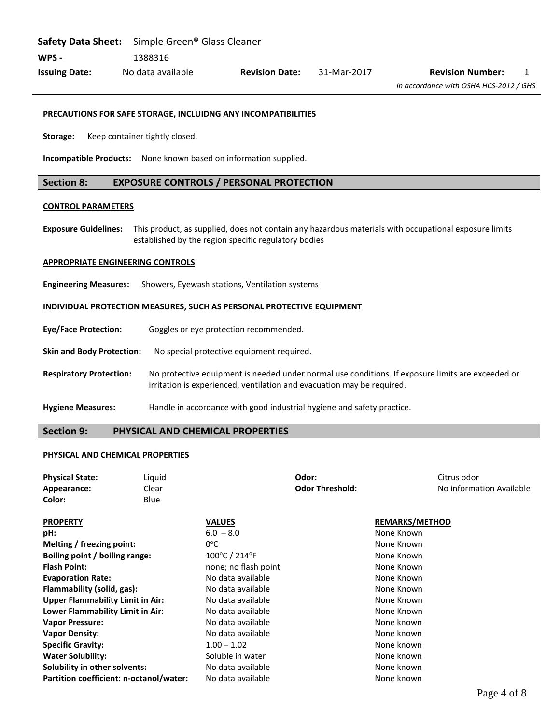**Safety Data Sheet:** Simple Green® Glass Cleaner **WPS -** 1388316 **Issuing Date:** No data available **Revision Date:** 31-Mar-2017 **Revision Number:** 1

#### **PRECAUTIONS FOR SAFE STORAGE, INCLUIDNG ANY INCOMPATIBILITIES**

**Storage:** Keep container tightly closed.

**Incompatible Products:** None known based on information supplied.

## **Section 8: EXPOSURE CONTROLS / PERSONAL PROTECTION**

## **CONTROL PARAMETERS**

**Exposure Guidelines:** This product, as supplied, does not contain any hazardous materials with occupational exposure limits established by the region specific regulatory bodies

#### **APPROPRIATE ENGINEERING CONTROLS**

**Engineering Measures:** Showers, Eyewash stations, Ventilation systems

## **INDIVIDUAL PROTECTION MEASURES, SUCH AS PERSONAL PROTECTIVE EQUIPMENT**

| <b>Eve/Face Protection:</b>      | Goggles or eye protection recommended.                                                                                                                                      |
|----------------------------------|-----------------------------------------------------------------------------------------------------------------------------------------------------------------------------|
| <b>Skin and Body Protection:</b> | No special protective equipment required.                                                                                                                                   |
| <b>Respiratory Protection:</b>   | No protective equipment is needed under normal use conditions. If exposure limits are exceeded or<br>irritation is experienced, ventilation and evacuation may be required. |
| <b>Hygiene Measures:</b>         | Handle in accordance with good industrial hygiene and safety practice.                                                                                                      |

## **Section 9: PHYSICAL AND CHEMICAL PROPERTIES**

### **PHYSICAL AND CHEMICAL PROPERTIES**

| <b>Physical State:</b><br>Appearance:<br>Color: | Liquid<br>Clear<br>Blue |                                    | Odor:<br><b>Odor Threshold:</b> | Citrus odor<br>No information Available |
|-------------------------------------------------|-------------------------|------------------------------------|---------------------------------|-----------------------------------------|
| <b>PROPERTY</b>                                 |                         | <b>VALUES</b>                      |                                 | <b>REMARKS/METHOD</b>                   |
| pH:                                             |                         | $6.0 - 8.0$                        |                                 | None Known                              |
| Melting / freezing point:                       |                         | $0^{\circ}$ C                      |                                 | None Known                              |
| Boiling point / boiling range:                  |                         | $100^{\circ}$ C / 214 $^{\circ}$ F |                                 | None Known                              |
| <b>Flash Point:</b>                             |                         | none; no flash point               |                                 | None Known                              |
| <b>Evaporation Rate:</b>                        |                         | No data available                  |                                 | None Known                              |
| Flammability (solid, gas):                      |                         | No data available                  |                                 | None Known                              |
| <b>Upper Flammability Limit in Air:</b>         |                         | No data available                  |                                 | None Known                              |
| Lower Flammability Limit in Air:                |                         | No data available                  |                                 | None Known                              |
| <b>Vapor Pressure:</b>                          |                         | No data available                  |                                 | None known                              |
| <b>Vapor Density:</b>                           |                         | No data available                  |                                 | None known                              |
| <b>Specific Gravity:</b>                        |                         | $1.00 - 1.02$                      |                                 | None known                              |
| <b>Water Solubility:</b>                        |                         | Soluble in water                   |                                 | None known                              |
| Solubility in other solvents:                   |                         | No data available                  |                                 | None known                              |
| Partition coefficient: n-octanol/water:         |                         | No data available                  |                                 | None known                              |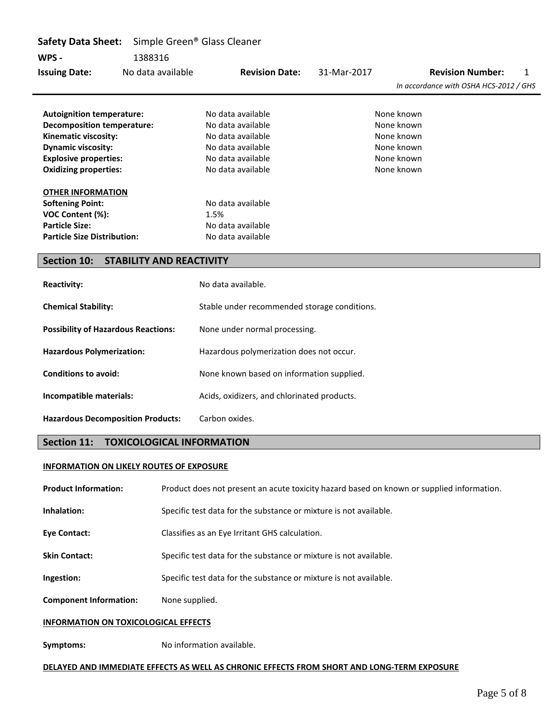| <b>Safety Data Sheet:</b>                              | Simple Green <sup>®</sup> Glass Cleaner      |             |                                        |
|--------------------------------------------------------|----------------------------------------------|-------------|----------------------------------------|
| WPS -<br>1388316                                       |                                              |             |                                        |
| No data available<br><b>Issuing Date:</b>              | <b>Revision Date:</b>                        | 31-Mar-2017 | <b>Revision Number:</b><br>1           |
|                                                        |                                              |             | In accordance with OSHA HCS-2012 / GHS |
|                                                        |                                              |             |                                        |
| <b>Autoignition temperature:</b>                       | No data available                            |             | None known                             |
| <b>Decomposition temperature:</b>                      | No data available                            |             | None known                             |
| Kinematic viscosity:                                   | No data available                            |             | None known                             |
| <b>Dynamic viscosity:</b>                              | No data available                            |             | None known                             |
| <b>Explosive properties:</b>                           | No data available                            |             | None known                             |
| <b>Oxidizing properties:</b>                           | No data available                            |             | None known                             |
| <b>OTHER INFORMATION</b>                               |                                              |             |                                        |
| <b>Softening Point:</b>                                | No data available                            |             |                                        |
| VOC Content (%):                                       | 1.5%                                         |             |                                        |
| <b>Particle Size:</b>                                  | No data available                            |             |                                        |
| <b>Particle Size Distribution:</b>                     | No data available                            |             |                                        |
|                                                        |                                              |             |                                        |
| <b>Section 10:</b><br><b>STABILITY AND REACTIVITY</b>  |                                              |             |                                        |
|                                                        |                                              |             |                                        |
| <b>Reactivity:</b>                                     | No data available.                           |             |                                        |
| <b>Chemical Stability:</b>                             | Stable under recommended storage conditions. |             |                                        |
|                                                        |                                              |             |                                        |
| <b>Possibility of Hazardous Reactions:</b>             | None under normal processing.                |             |                                        |
| <b>Hazardous Polymerization:</b>                       | Hazardous polymerization does not occur.     |             |                                        |
| <b>Conditions to avoid:</b>                            | None known based on information supplied.    |             |                                        |
| Incompatible materials:                                | Acids, oxidizers, and chlorinated products.  |             |                                        |
| <b>Hazardous Decomposition Products:</b>               | Carbon oxides.                               |             |                                        |
| <b>Section 11:</b><br><b>TOXICOLOGICAL INFORMATION</b> |                                              |             |                                        |

## **INFORMATION ON LIKELY ROUTES OF EXPOSURE**

| <b>Product Information:</b>                 | Product does not present an acute toxicity hazard based on known or supplied information. |
|---------------------------------------------|-------------------------------------------------------------------------------------------|
| Inhalation:                                 | Specific test data for the substance or mixture is not available.                         |
| <b>Eye Contact:</b>                         | Classifies as an Eye Irritant GHS calculation.                                            |
| <b>Skin Contact:</b>                        | Specific test data for the substance or mixture is not available.                         |
| Ingestion:                                  | Specific test data for the substance or mixture is not available.                         |
| <b>Component Information:</b>               | None supplied.                                                                            |
| <b>INFORMATION ON TOXICOLOGICAL EFFECTS</b> |                                                                                           |
|                                             |                                                                                           |

**Symptoms:** No information available.

## **DELAYED AND IMMEDIATE EFFECTS AS WELL AS CHRONIC EFFECTS FROM SHORT AND LONG-TERM EXPOSURE**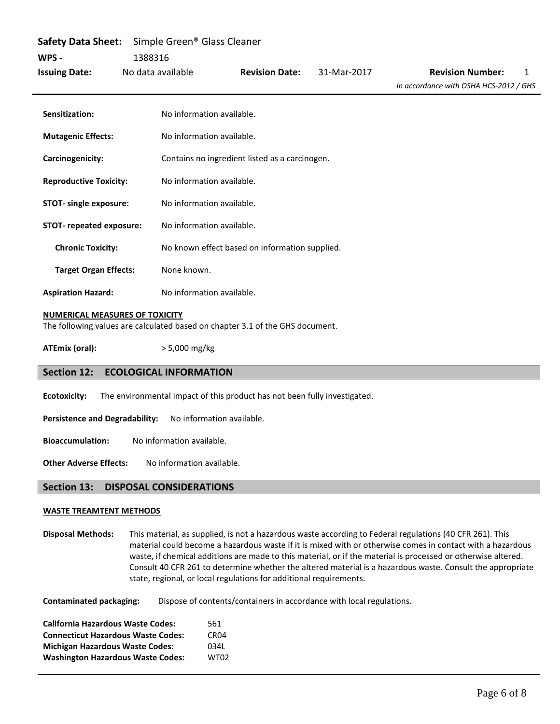| <b>Safety Data Sheet:</b>     | Simple Green <sup>®</sup> Glass Cleaner |                                                |             |                                        |  |  |
|-------------------------------|-----------------------------------------|------------------------------------------------|-------------|----------------------------------------|--|--|
| WPS -                         | 1388316                                 |                                                |             |                                        |  |  |
| <b>Issuing Date:</b>          | No data available                       | <b>Revision Date:</b>                          | 31-Mar-2017 | <b>Revision Number:</b><br>1           |  |  |
|                               |                                         |                                                |             | In accordance with OSHA HCS-2012 / GHS |  |  |
| Sensitization:                | No information available.               |                                                |             |                                        |  |  |
| <b>Mutagenic Effects:</b>     | No information available.               |                                                |             |                                        |  |  |
| Carcinogenicity:              |                                         | Contains no ingredient listed as a carcinogen. |             |                                        |  |  |
| <b>Reproductive Toxicity:</b> | No information available.               |                                                |             |                                        |  |  |
| <b>STOT-</b> single exposure: | No information available.               |                                                |             |                                        |  |  |
| STOT- repeated exposure:      | No information available.               |                                                |             |                                        |  |  |
| <b>Chronic Toxicity:</b>      |                                         | No known effect based on information supplied. |             |                                        |  |  |
| <b>Target Organ Effects:</b>  | None known.                             |                                                |             |                                        |  |  |
| <b>Aspiration Hazard:</b>     | No information available.               |                                                |             |                                        |  |  |

#### **NUMERICAL MEASURES OF TOXICITY**

The following values are calculated based on chapter 3.1 of the GHS document.

**ATEmix (oral):** > 5,000 mg/kg

## **Section 12: ECOLOGICAL INFORMATION**

**Ecotoxicity:** The environmental impact of this product has not been fully investigated.

Persistence and Degradability: No information available.

**Bioaccumulation:** No information available.

**Other Adverse Effects:** No information available.

## **Section 13: DISPOSAL CONSIDERATIONS**

#### **WASTE TREAMTENT METHODS**

**Disposal Methods:** This material, as supplied, is not a hazardous waste according to Federal regulations (40 CFR 261). This material could become a hazardous waste if it is mixed with or otherwise comes in contact with a hazardous waste, if chemical additions are made to this material, or if the material is processed or otherwise altered. Consult 40 CFR 261 to determine whether the altered material is a hazardous waste. Consult the appropriate state, regional, or local regulations for additional requirements.

**Contaminated packaging:** Dispose of contents/containers in accordance with local regulations.

| <b>California Hazardous Waste Codes:</b>  | 561              |
|-------------------------------------------|------------------|
| <b>Connecticut Hazardous Waste Codes:</b> | CR <sub>04</sub> |
| <b>Michigan Hazardous Waste Codes:</b>    | 0341             |
| <b>Washington Hazardous Waste Codes:</b>  | <b>WT02</b>      |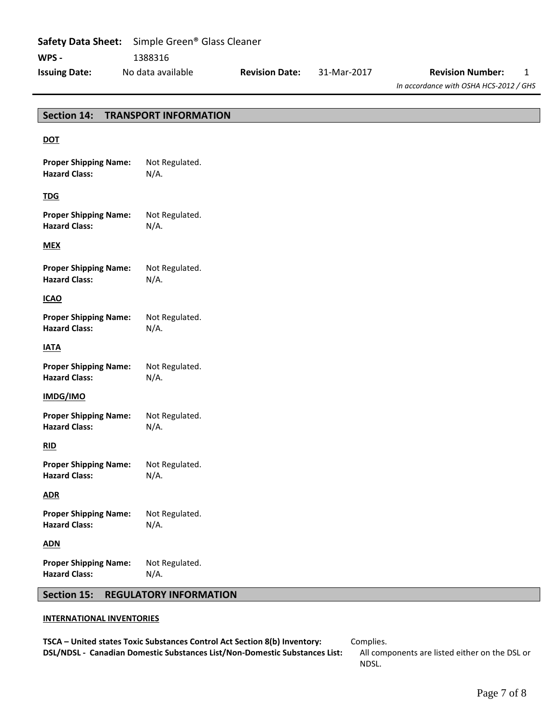|                      | <b>Safety Data Sheet:</b> Simple Green <sup>®</sup> Glass Cleaner |                       |             |                                        |  |
|----------------------|-------------------------------------------------------------------|-----------------------|-------------|----------------------------------------|--|
| WPS -                | 1388316                                                           |                       |             |                                        |  |
| <b>Issuing Date:</b> | No data available                                                 | <b>Revision Date:</b> | 31-Mar-2017 | <b>Revision Number:</b>                |  |
|                      |                                                                   |                       |             | In accordance with OSHA HCS-2012 / GHS |  |

# **Section 14: TRANSPORT INFORMATION DOT Proper Shipping Name:** Not Regulated. **Hazard Class:** N/A. **TDG Proper Shipping Name:** Not Regulated. **Hazard Class:** N/A. **MEX Proper Shipping Name:** Not Regulated. **Hazard Class:** N/A. **ICAO Proper Shipping Name:** Not Regulated. **Hazard Class:** N/A. **IATA Proper Shipping Name:** Not Regulated. **Hazard Class:** N/A. **IMDG/IMO Proper Shipping Name:** Not Regulated. **Hazard Class:** N/A. **RID Proper Shipping Name:** Not Regulated. **Hazard Class:** N/A. **ADR Proper Shipping Name:** Not Regulated. **Hazard Class:** N/A. **ADN Proper Shipping Name:** Not Regulated. **Hazard Class:** N/A.

## **Section 15: REGULATORY INFORMATION**

## **INTERNATIONAL INVENTORIES**

**TSCA – United states Toxic Substances Control Act Section 8(b) Inventory:** Complies. **DSL/NDSL - Canadian Domestic Substances List/Non-Domestic Substances List:** All components are listed either on the DSL or

NDSL.